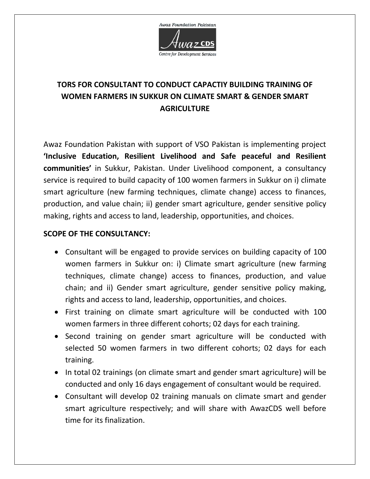

## **TORS FOR CONSULTANT TO CONDUCT CAPACTIY BUILDING TRAINING OF WOMEN FARMERS IN SUKKUR ON CLIMATE SMART & GENDER SMART AGRICULTURE**

Awaz Foundation Pakistan with support of VSO Pakistan is implementing project **'Inclusive Education, Resilient Livelihood and Safe peaceful and Resilient communities'** in Sukkur, Pakistan. Under Livelihood component, a consultancy service is required to build capacity of 100 women farmers in Sukkur on i) climate smart agriculture (new farming techniques, climate change) access to finances, production, and value chain; ii) gender smart agriculture, gender sensitive policy making, rights and access to land, leadership, opportunities, and choices.

## **SCOPE OF THE CONSULTANCY:**

- Consultant will be engaged to provide services on building capacity of 100 women farmers in Sukkur on: i) Climate smart agriculture (new farming techniques, climate change) access to finances, production, and value chain; and ii) Gender smart agriculture, gender sensitive policy making, rights and access to land, leadership, opportunities, and choices.
- First training on climate smart agriculture will be conducted with 100 women farmers in three different cohorts; 02 days for each training.
- Second training on gender smart agriculture will be conducted with selected 50 women farmers in two different cohorts; 02 days for each training.
- In total 02 trainings (on climate smart and gender smart agriculture) will be conducted and only 16 days engagement of consultant would be required.
- Consultant will develop 02 training manuals on climate smart and gender smart agriculture respectively; and will share with AwazCDS well before time for its finalization.